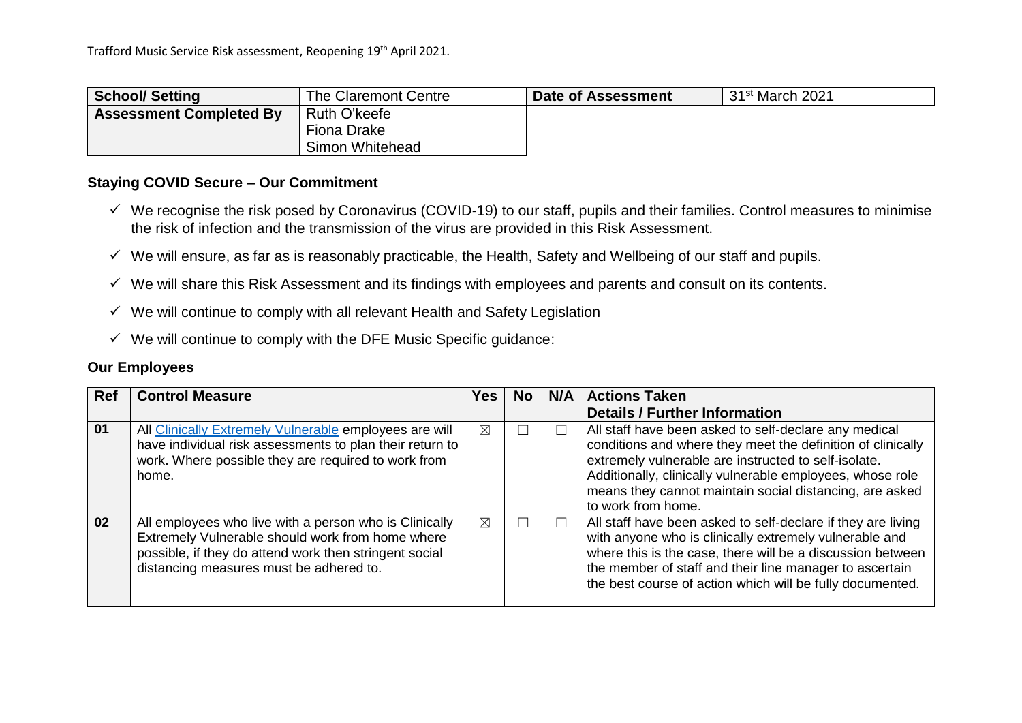| <b>School/Setting</b>          | The Claremont Centre | Date of Assessment | 31 <sup>st</sup> March 2021 |
|--------------------------------|----------------------|--------------------|-----------------------------|
| <b>Assessment Completed By</b> | Ruth O'keefe         |                    |                             |
|                                | Fiona Drake          |                    |                             |
|                                | Simon Whitehead      |                    |                             |

### **Staying COVID Secure – Our Commitment**

- $\checkmark$  We recognise the risk posed by Coronavirus (COVID-19) to our staff, pupils and their families. Control measures to minimise the risk of infection and the transmission of the virus are provided in this Risk Assessment.
- $\checkmark$  We will ensure, as far as is reasonably practicable, the Health, Safety and Wellbeing of our staff and pupils.
- $\checkmark$  We will share this Risk Assessment and its findings with employees and parents and consult on its contents.
- $\checkmark$  We will continue to comply with all relevant Health and Safety Legislation
- $\checkmark$  We will continue to comply with the DFE Music Specific guidance:

### **Our Employees**

| <b>Ref</b> | <b>Control Measure</b>                                                                                                                                                                                          | Yes l | No. | N/A | <b>Actions Taken</b>                                                                                                                                                                                                                                                                                                       |
|------------|-----------------------------------------------------------------------------------------------------------------------------------------------------------------------------------------------------------------|-------|-----|-----|----------------------------------------------------------------------------------------------------------------------------------------------------------------------------------------------------------------------------------------------------------------------------------------------------------------------------|
|            |                                                                                                                                                                                                                 |       |     |     | <b>Details / Further Information</b>                                                                                                                                                                                                                                                                                       |
| 01         | All Clinically Extremely Vulnerable employees are will<br>have individual risk assessments to plan their return to<br>work. Where possible they are required to work from<br>home.                              | ⊠     |     |     | All staff have been asked to self-declare any medical<br>conditions and where they meet the definition of clinically<br>extremely vulnerable are instructed to self-isolate.<br>Additionally, clinically vulnerable employees, whose role<br>means they cannot maintain social distancing, are asked<br>to work from home. |
| 02         | All employees who live with a person who is Clinically<br>Extremely Vulnerable should work from home where<br>possible, if they do attend work then stringent social<br>distancing measures must be adhered to. | ⊠     |     |     | All staff have been asked to self-declare if they are living<br>with anyone who is clinically extremely vulnerable and<br>where this is the case, there will be a discussion between<br>the member of staff and their line manager to ascertain<br>the best course of action which will be fully documented.               |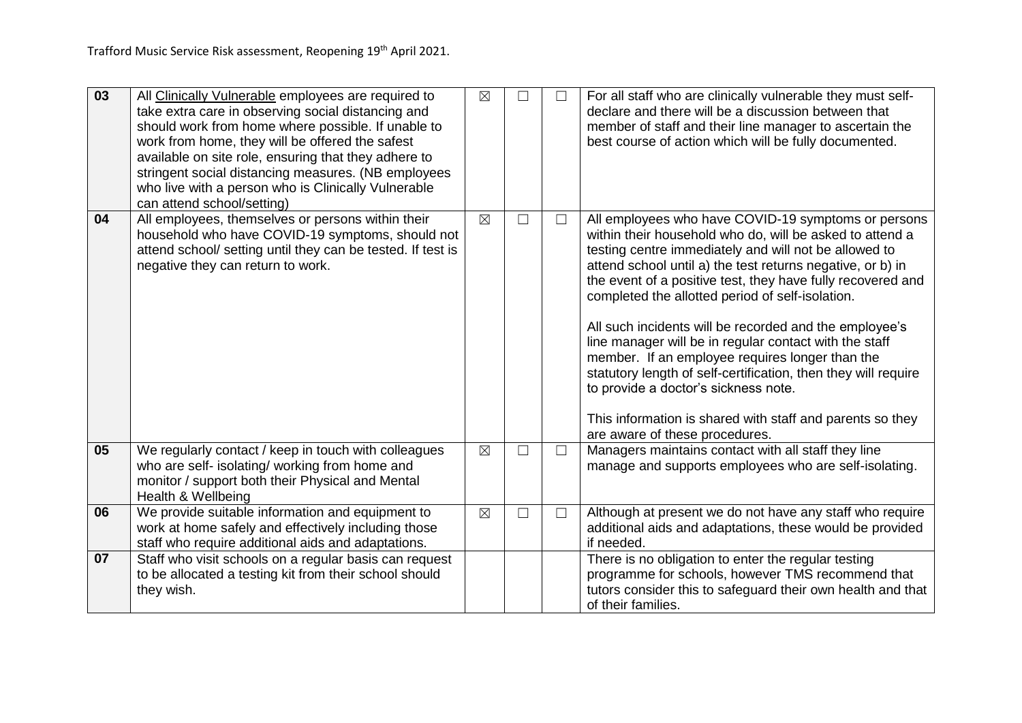| $\overline{03}$ | All Clinically Vulnerable employees are required to<br>take extra care in observing social distancing and<br>should work from home where possible. If unable to<br>work from home, they will be offered the safest<br>available on site role, ensuring that they adhere to<br>stringent social distancing measures. (NB employees<br>who live with a person who is Clinically Vulnerable<br>can attend school/setting) | $\boxtimes$ | П      | $\Box$ | For all staff who are clinically vulnerable they must self-<br>declare and there will be a discussion between that<br>member of staff and their line manager to ascertain the<br>best course of action which will be fully documented.                                                                                                                                                                                                                                                                                                                                                                                                                                                                                                    |
|-----------------|------------------------------------------------------------------------------------------------------------------------------------------------------------------------------------------------------------------------------------------------------------------------------------------------------------------------------------------------------------------------------------------------------------------------|-------------|--------|--------|-------------------------------------------------------------------------------------------------------------------------------------------------------------------------------------------------------------------------------------------------------------------------------------------------------------------------------------------------------------------------------------------------------------------------------------------------------------------------------------------------------------------------------------------------------------------------------------------------------------------------------------------------------------------------------------------------------------------------------------------|
| 04              | All employees, themselves or persons within their<br>household who have COVID-19 symptoms, should not<br>attend school/ setting until they can be tested. If test is<br>negative they can return to work.                                                                                                                                                                                                              | $\boxtimes$ | $\Box$ | $\Box$ | All employees who have COVID-19 symptoms or persons<br>within their household who do, will be asked to attend a<br>testing centre immediately and will not be allowed to<br>attend school until a) the test returns negative, or b) in<br>the event of a positive test, they have fully recovered and<br>completed the allotted period of self-isolation.<br>All such incidents will be recorded and the employee's<br>line manager will be in regular contact with the staff<br>member. If an employee requires longer than the<br>statutory length of self-certification, then they will require<br>to provide a doctor's sickness note.<br>This information is shared with staff and parents so they<br>are aware of these procedures. |
| 05              | We regularly contact / keep in touch with colleagues<br>who are self- isolating/ working from home and<br>monitor / support both their Physical and Mental<br>Health & Wellbeing                                                                                                                                                                                                                                       | $\boxtimes$ | $\Box$ | $\Box$ | Managers maintains contact with all staff they line<br>manage and supports employees who are self-isolating.                                                                                                                                                                                                                                                                                                                                                                                                                                                                                                                                                                                                                              |
| 06              | We provide suitable information and equipment to<br>work at home safely and effectively including those<br>staff who require additional aids and adaptations.                                                                                                                                                                                                                                                          | $\boxtimes$ | $\Box$ | $\Box$ | Although at present we do not have any staff who require<br>additional aids and adaptations, these would be provided<br>if needed.                                                                                                                                                                                                                                                                                                                                                                                                                                                                                                                                                                                                        |
| 07              | Staff who visit schools on a regular basis can request<br>to be allocated a testing kit from their school should<br>they wish.                                                                                                                                                                                                                                                                                         |             |        |        | There is no obligation to enter the regular testing<br>programme for schools, however TMS recommend that<br>tutors consider this to safeguard their own health and that<br>of their families.                                                                                                                                                                                                                                                                                                                                                                                                                                                                                                                                             |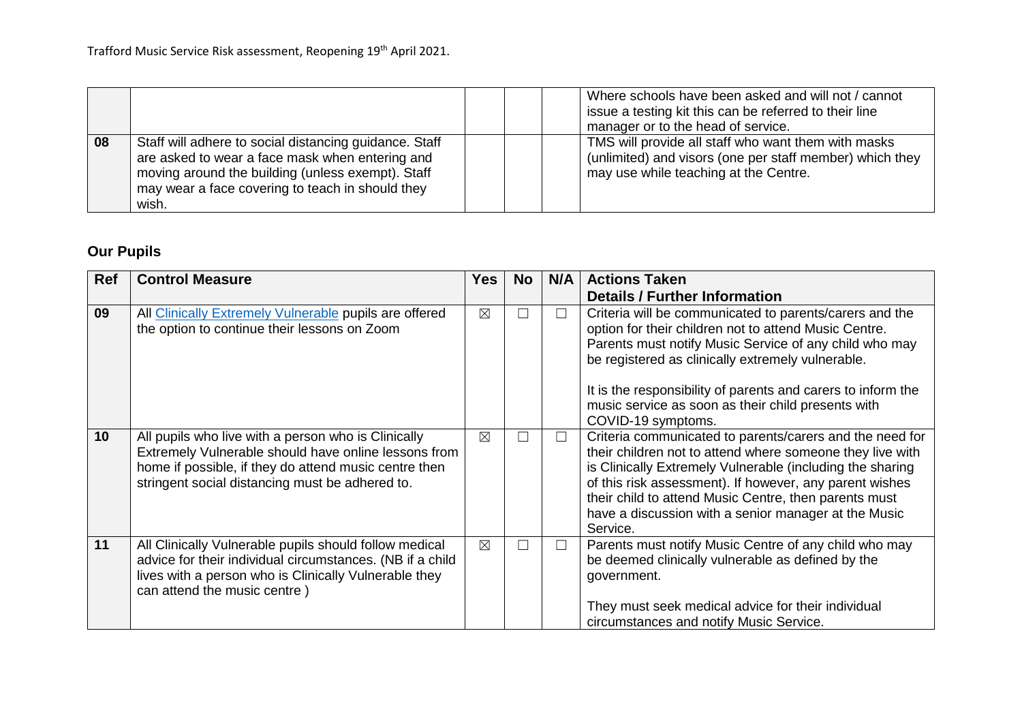|    |                                                                                                                                                                                                                             |  | Where schools have been asked and will not / cannot<br>issue a testing kit this can be referred to their line<br>manager or to the head of service.      |
|----|-----------------------------------------------------------------------------------------------------------------------------------------------------------------------------------------------------------------------------|--|----------------------------------------------------------------------------------------------------------------------------------------------------------|
| 08 | Staff will adhere to social distancing guidance. Staff<br>are asked to wear a face mask when entering and<br>moving around the building (unless exempt). Staff<br>may wear a face covering to teach in should they<br>wish. |  | TMS will provide all staff who want them with masks<br>(unlimited) and visors (one per staff member) which they<br>may use while teaching at the Centre. |

# **Our Pupils**

| Ref | <b>Control Measure</b>                                                                                                                                                                                                  | <b>Yes</b>  | No | N/A    | <b>Actions Taken</b>                                                                                                                                                                                                                                                                                                                                                       |
|-----|-------------------------------------------------------------------------------------------------------------------------------------------------------------------------------------------------------------------------|-------------|----|--------|----------------------------------------------------------------------------------------------------------------------------------------------------------------------------------------------------------------------------------------------------------------------------------------------------------------------------------------------------------------------------|
|     |                                                                                                                                                                                                                         |             |    |        | <b>Details / Further Information</b>                                                                                                                                                                                                                                                                                                                                       |
| 09  | All Clinically Extremely Vulnerable pupils are offered<br>the option to continue their lessons on Zoom                                                                                                                  | $\boxtimes$ | Г  | $\Box$ | Criteria will be communicated to parents/carers and the<br>option for their children not to attend Music Centre.<br>Parents must notify Music Service of any child who may<br>be registered as clinically extremely vulnerable.                                                                                                                                            |
|     |                                                                                                                                                                                                                         |             |    |        | It is the responsibility of parents and carers to inform the<br>music service as soon as their child presents with<br>COVID-19 symptoms.                                                                                                                                                                                                                                   |
| 10  | All pupils who live with a person who is Clinically<br>Extremely Vulnerable should have online lessons from<br>home if possible, if they do attend music centre then<br>stringent social distancing must be adhered to. | $\boxtimes$ | П  | $\Box$ | Criteria communicated to parents/carers and the need for<br>their children not to attend where someone they live with<br>is Clinically Extremely Vulnerable (including the sharing<br>of this risk assessment). If however, any parent wishes<br>their child to attend Music Centre, then parents must<br>have a discussion with a senior manager at the Music<br>Service. |
| 11  | All Clinically Vulnerable pupils should follow medical<br>advice for their individual circumstances. (NB if a child<br>lives with a person who is Clinically Vulnerable they<br>can attend the music centre)            | $\boxtimes$ | Г  | $\Box$ | Parents must notify Music Centre of any child who may<br>be deemed clinically vulnerable as defined by the<br>government.<br>They must seek medical advice for their individual<br>circumstances and notify Music Service.                                                                                                                                                 |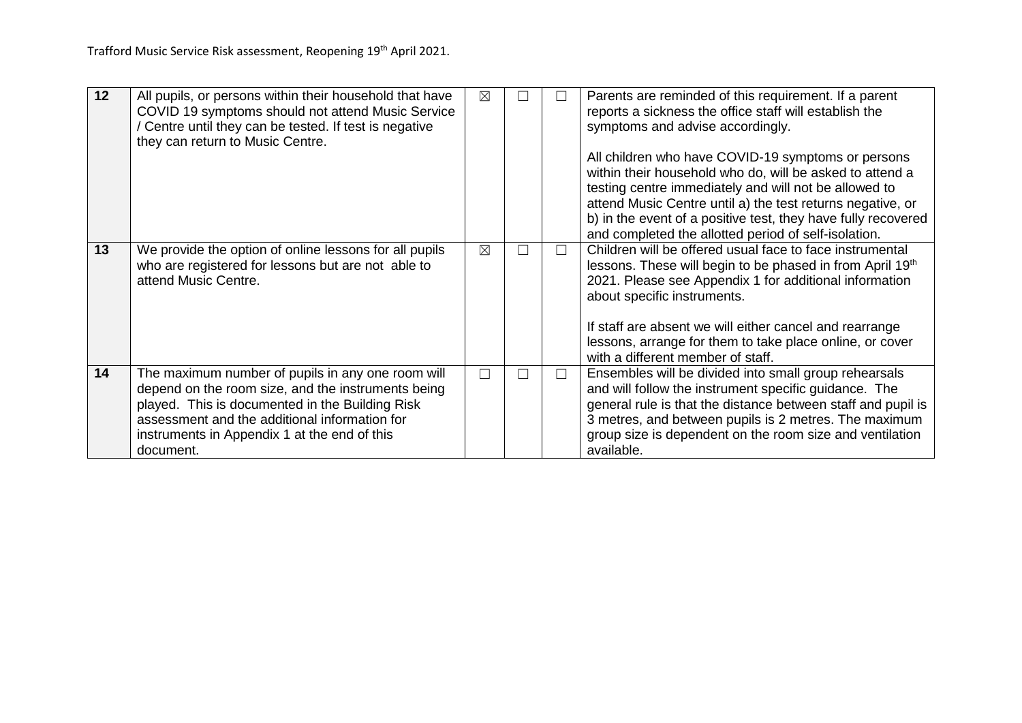| 12 |                                                                                                              |             |   |   |                                                                                                                 |
|----|--------------------------------------------------------------------------------------------------------------|-------------|---|---|-----------------------------------------------------------------------------------------------------------------|
|    | All pupils, or persons within their household that have<br>COVID 19 symptoms should not attend Music Service | ⊠           |   |   | Parents are reminded of this requirement. If a parent<br>reports a sickness the office staff will establish the |
|    | Centre until they can be tested. If test is negative                                                         |             |   |   | symptoms and advise accordingly.                                                                                |
|    | they can return to Music Centre.                                                                             |             |   |   |                                                                                                                 |
|    |                                                                                                              |             |   |   | All children who have COVID-19 symptoms or persons                                                              |
|    |                                                                                                              |             |   |   | within their household who do, will be asked to attend a                                                        |
|    |                                                                                                              |             |   |   | testing centre immediately and will not be allowed to                                                           |
|    |                                                                                                              |             |   |   | attend Music Centre until a) the test returns negative, or                                                      |
|    |                                                                                                              |             |   |   | b) in the event of a positive test, they have fully recovered                                                   |
|    |                                                                                                              |             |   |   | and completed the allotted period of self-isolation.                                                            |
| 13 | We provide the option of online lessons for all pupils                                                       | $\boxtimes$ | П |   | Children will be offered usual face to face instrumental                                                        |
|    | who are registered for lessons but are not able to                                                           |             |   |   | lessons. These will begin to be phased in from April 19th                                                       |
|    | attend Music Centre.                                                                                         |             |   |   | 2021. Please see Appendix 1 for additional information                                                          |
|    |                                                                                                              |             |   |   | about specific instruments.                                                                                     |
|    |                                                                                                              |             |   |   | If staff are absent we will either cancel and rearrange                                                         |
|    |                                                                                                              |             |   |   |                                                                                                                 |
|    |                                                                                                              |             |   |   | lessons, arrange for them to take place online, or cover<br>with a different member of staff.                   |
|    |                                                                                                              |             |   |   |                                                                                                                 |
| 14 | The maximum number of pupils in any one room will                                                            | L.          | П | ┑ | Ensembles will be divided into small group rehearsals                                                           |
|    | depend on the room size, and the instruments being                                                           |             |   |   | and will follow the instrument specific guidance. The                                                           |
|    | played. This is documented in the Building Risk                                                              |             |   |   | general rule is that the distance between staff and pupil is                                                    |
|    | assessment and the additional information for                                                                |             |   |   | 3 metres, and between pupils is 2 metres. The maximum                                                           |
|    | instruments in Appendix 1 at the end of this                                                                 |             |   |   | group size is dependent on the room size and ventilation                                                        |
|    | document.                                                                                                    |             |   |   | available.                                                                                                      |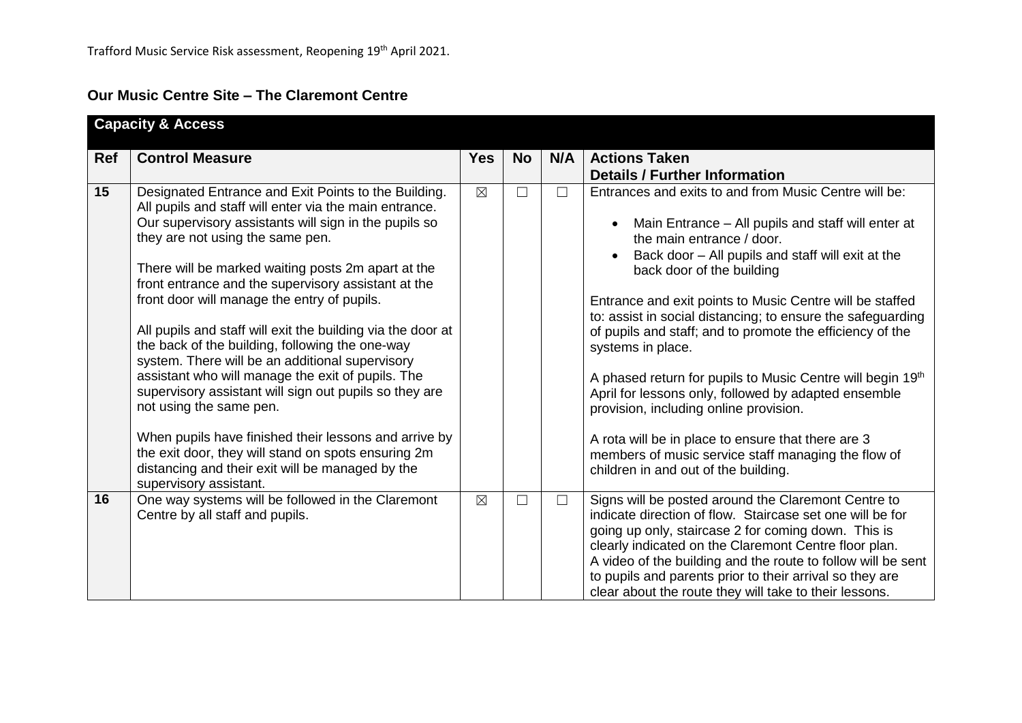# **Our Music Centre Site – The Claremont Centre**

|            | <b>Capacity &amp; Access</b>                                                                                                                                                                                                                                                                                                                                                                                                                                                                                                                                                                                                                                                                                                                                                                                                                                                         |             |           |        |                                                                                                                                                                                                                                                                                                                                                                                                                                                                                                                                                                                                                                                                                                                                                                           |
|------------|--------------------------------------------------------------------------------------------------------------------------------------------------------------------------------------------------------------------------------------------------------------------------------------------------------------------------------------------------------------------------------------------------------------------------------------------------------------------------------------------------------------------------------------------------------------------------------------------------------------------------------------------------------------------------------------------------------------------------------------------------------------------------------------------------------------------------------------------------------------------------------------|-------------|-----------|--------|---------------------------------------------------------------------------------------------------------------------------------------------------------------------------------------------------------------------------------------------------------------------------------------------------------------------------------------------------------------------------------------------------------------------------------------------------------------------------------------------------------------------------------------------------------------------------------------------------------------------------------------------------------------------------------------------------------------------------------------------------------------------------|
| <b>Ref</b> | <b>Control Measure</b>                                                                                                                                                                                                                                                                                                                                                                                                                                                                                                                                                                                                                                                                                                                                                                                                                                                               | <b>Yes</b>  | <b>No</b> | N/A    | <b>Actions Taken</b><br><b>Details / Further Information</b>                                                                                                                                                                                                                                                                                                                                                                                                                                                                                                                                                                                                                                                                                                              |
| 15         | Designated Entrance and Exit Points to the Building.<br>All pupils and staff will enter via the main entrance.<br>Our supervisory assistants will sign in the pupils so<br>they are not using the same pen.<br>There will be marked waiting posts 2m apart at the<br>front entrance and the supervisory assistant at the<br>front door will manage the entry of pupils.<br>All pupils and staff will exit the building via the door at<br>the back of the building, following the one-way<br>system. There will be an additional supervisory<br>assistant who will manage the exit of pupils. The<br>supervisory assistant will sign out pupils so they are<br>not using the same pen.<br>When pupils have finished their lessons and arrive by<br>the exit door, they will stand on spots ensuring 2m<br>distancing and their exit will be managed by the<br>supervisory assistant. | $\boxtimes$ |           | $\Box$ | Entrances and exits to and from Music Centre will be:<br>Main Entrance – All pupils and staff will enter at<br>$\bullet$<br>the main entrance / door.<br>Back door - All pupils and staff will exit at the<br>back door of the building<br>Entrance and exit points to Music Centre will be staffed<br>to: assist in social distancing; to ensure the safeguarding<br>of pupils and staff; and to promote the efficiency of the<br>systems in place.<br>A phased return for pupils to Music Centre will begin 19th<br>April for lessons only, followed by adapted ensemble<br>provision, including online provision.<br>A rota will be in place to ensure that there are 3<br>members of music service staff managing the flow of<br>children in and out of the building. |
| 16         | One way systems will be followed in the Claremont<br>Centre by all staff and pupils.                                                                                                                                                                                                                                                                                                                                                                                                                                                                                                                                                                                                                                                                                                                                                                                                 | $\boxtimes$ | $\Box$    | $\Box$ | Signs will be posted around the Claremont Centre to<br>indicate direction of flow. Staircase set one will be for<br>going up only, staircase 2 for coming down. This is<br>clearly indicated on the Claremont Centre floor plan.<br>A video of the building and the route to follow will be sent<br>to pupils and parents prior to their arrival so they are<br>clear about the route they will take to their lessons.                                                                                                                                                                                                                                                                                                                                                    |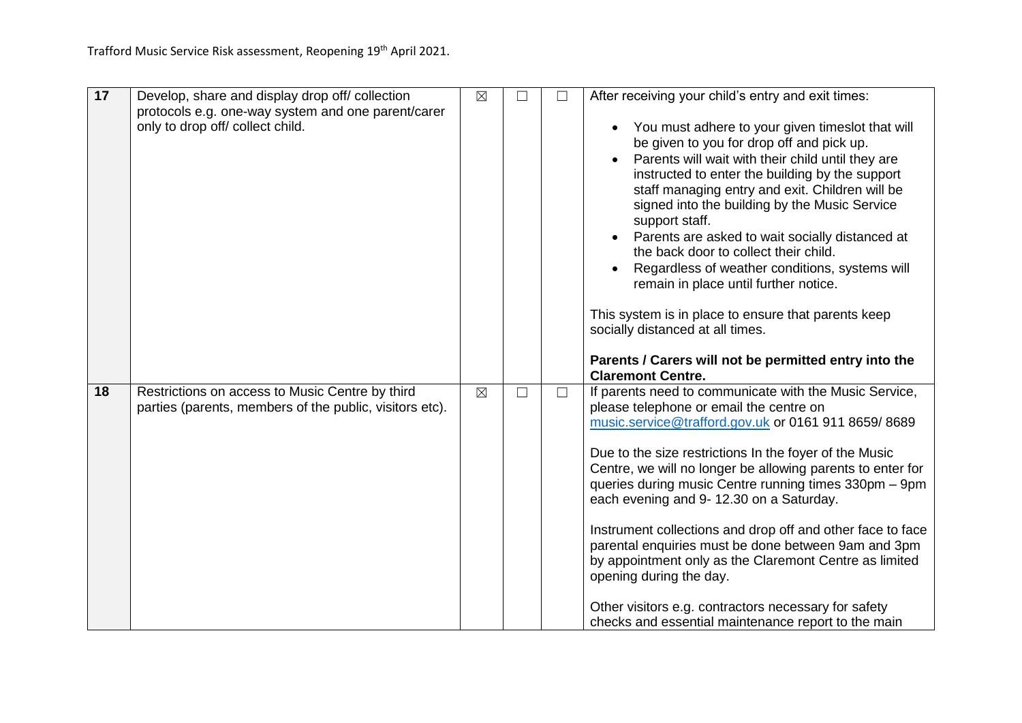| 17 | Develop, share and display drop off/ collection                                                            | $\boxtimes$ | $\Box$ | After receiving your child's entry and exit times:                                                                                                                                                                                                                                                                                                                                                                                                                                                                                                                                                                                                                                                              |
|----|------------------------------------------------------------------------------------------------------------|-------------|--------|-----------------------------------------------------------------------------------------------------------------------------------------------------------------------------------------------------------------------------------------------------------------------------------------------------------------------------------------------------------------------------------------------------------------------------------------------------------------------------------------------------------------------------------------------------------------------------------------------------------------------------------------------------------------------------------------------------------------|
|    | protocols e.g. one-way system and one parent/carer<br>only to drop off/ collect child.                     |             |        | You must adhere to your given timeslot that will<br>$\bullet$<br>be given to you for drop off and pick up.<br>Parents will wait with their child until they are<br>instructed to enter the building by the support<br>staff managing entry and exit. Children will be<br>signed into the building by the Music Service<br>support staff.<br>Parents are asked to wait socially distanced at<br>the back door to collect their child.<br>Regardless of weather conditions, systems will<br>remain in place until further notice.<br>This system is in place to ensure that parents keep<br>socially distanced at all times.<br>Parents / Carers will not be permitted entry into the<br><b>Claremont Centre.</b> |
| 18 | Restrictions on access to Music Centre by third<br>parties (parents, members of the public, visitors etc). | $\boxtimes$ | $\Box$ | If parents need to communicate with the Music Service,<br>please telephone or email the centre on<br>music.service@trafford.gov.uk or 0161 911 8659/8689<br>Due to the size restrictions In the foyer of the Music<br>Centre, we will no longer be allowing parents to enter for<br>queries during music Centre running times 330pm - 9pm<br>each evening and 9-12.30 on a Saturday.<br>Instrument collections and drop off and other face to face<br>parental enquiries must be done between 9am and 3pm<br>by appointment only as the Claremont Centre as limited<br>opening during the day.<br>Other visitors e.g. contractors necessary for safety<br>checks and essential maintenance report to the main   |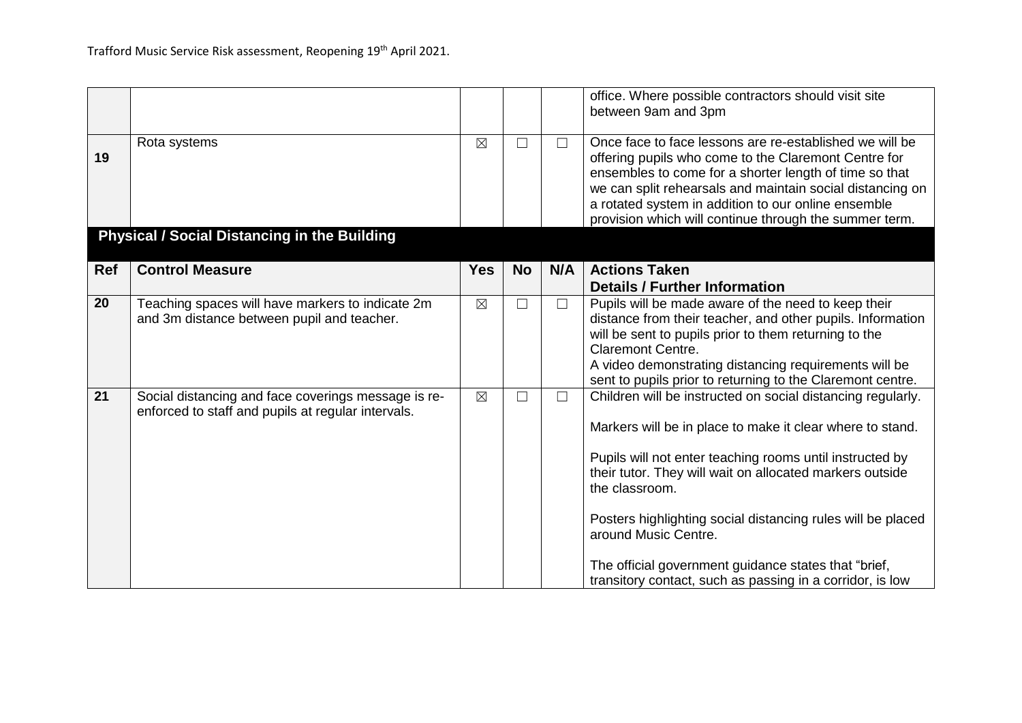|            |                                                                                                           |             |                   |              | office. Where possible contractors should visit site<br>between 9am and 3pm                                                                                                                                                                                                                                                                                                                                                                                                    |
|------------|-----------------------------------------------------------------------------------------------------------|-------------|-------------------|--------------|--------------------------------------------------------------------------------------------------------------------------------------------------------------------------------------------------------------------------------------------------------------------------------------------------------------------------------------------------------------------------------------------------------------------------------------------------------------------------------|
| 19         | Rota systems                                                                                              | $\boxtimes$ | $\Box$            | $\mathsf{L}$ | Once face to face lessons are re-established we will be<br>offering pupils who come to the Claremont Centre for<br>ensembles to come for a shorter length of time so that<br>we can split rehearsals and maintain social distancing on<br>a rotated system in addition to our online ensemble<br>provision which will continue through the summer term.                                                                                                                        |
|            | <b>Physical / Social Distancing in the Building</b>                                                       |             |                   |              |                                                                                                                                                                                                                                                                                                                                                                                                                                                                                |
| <b>Ref</b> | <b>Control Measure</b>                                                                                    | <b>Yes</b>  | <b>No</b>         | N/A          | <b>Actions Taken</b><br><b>Details / Further Information</b>                                                                                                                                                                                                                                                                                                                                                                                                                   |
| 20         | Teaching spaces will have markers to indicate 2m<br>and 3m distance between pupil and teacher.            | $\boxtimes$ | $\vert \ \ \vert$ | ⊔            | Pupils will be made aware of the need to keep their<br>distance from their teacher, and other pupils. Information<br>will be sent to pupils prior to them returning to the<br><b>Claremont Centre.</b><br>A video demonstrating distancing requirements will be<br>sent to pupils prior to returning to the Claremont centre.                                                                                                                                                  |
| 21         | Social distancing and face coverings message is re-<br>enforced to staff and pupils at regular intervals. | $\boxtimes$ | $\Box$            | $\Box$       | Children will be instructed on social distancing regularly.<br>Markers will be in place to make it clear where to stand.<br>Pupils will not enter teaching rooms until instructed by<br>their tutor. They will wait on allocated markers outside<br>the classroom.<br>Posters highlighting social distancing rules will be placed<br>around Music Centre.<br>The official government guidance states that "brief,<br>transitory contact, such as passing in a corridor, is low |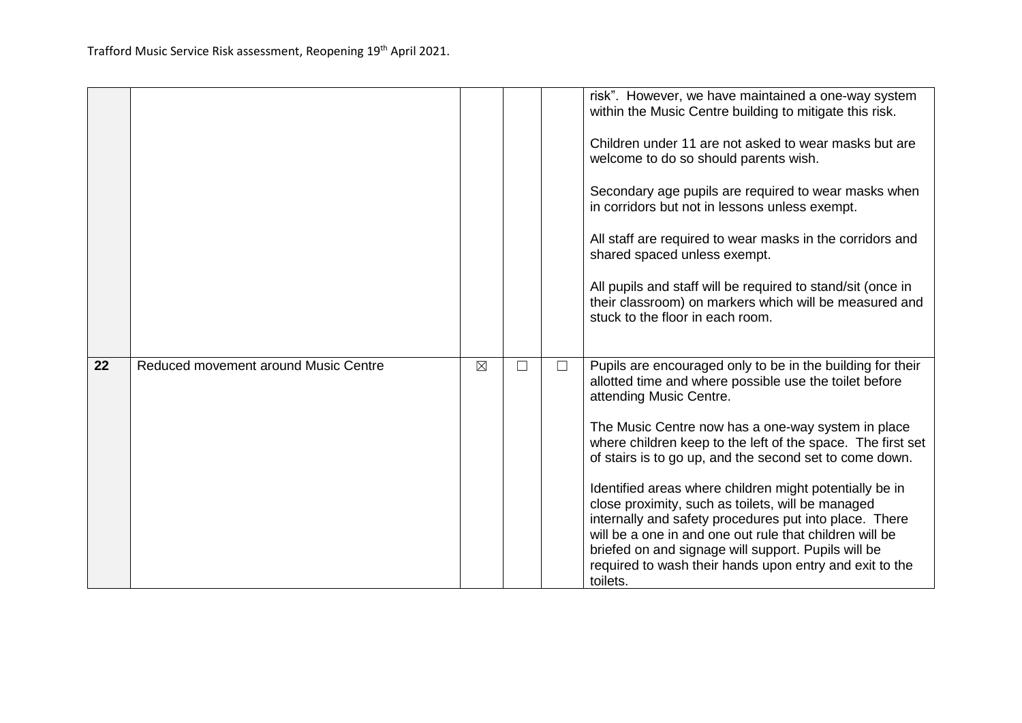|    |                                      |             |        |        | risk". However, we have maintained a one-way system<br>within the Music Centre building to mitigate this risk.<br>Children under 11 are not asked to wear masks but are<br>welcome to do so should parents wish.<br>Secondary age pupils are required to wear masks when<br>in corridors but not in lessons unless exempt.<br>All staff are required to wear masks in the corridors and<br>shared spaced unless exempt.<br>All pupils and staff will be required to stand/sit (once in<br>their classroom) on markers which will be measured and<br>stuck to the floor in each room.                                                                                                               |
|----|--------------------------------------|-------------|--------|--------|----------------------------------------------------------------------------------------------------------------------------------------------------------------------------------------------------------------------------------------------------------------------------------------------------------------------------------------------------------------------------------------------------------------------------------------------------------------------------------------------------------------------------------------------------------------------------------------------------------------------------------------------------------------------------------------------------|
| 22 | Reduced movement around Music Centre | $\boxtimes$ | $\Box$ | $\Box$ | Pupils are encouraged only to be in the building for their<br>allotted time and where possible use the toilet before<br>attending Music Centre.<br>The Music Centre now has a one-way system in place<br>where children keep to the left of the space. The first set<br>of stairs is to go up, and the second set to come down.<br>Identified areas where children might potentially be in<br>close proximity, such as toilets, will be managed<br>internally and safety procedures put into place. There<br>will be a one in and one out rule that children will be<br>briefed on and signage will support. Pupils will be<br>required to wash their hands upon entry and exit to the<br>toilets. |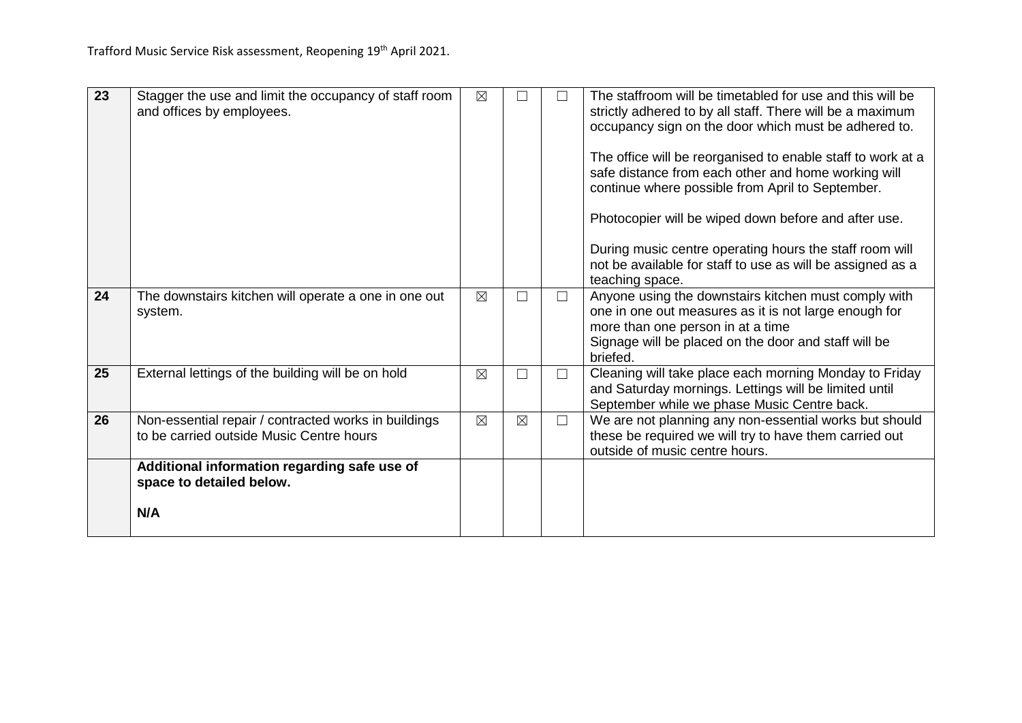| 23 |                                                       |             |             |        | The staffroom will be timetabled for use and this will be   |
|----|-------------------------------------------------------|-------------|-------------|--------|-------------------------------------------------------------|
|    | Stagger the use and limit the occupancy of staff room | $\boxtimes$ |             |        |                                                             |
|    | and offices by employees.                             |             |             |        | strictly adhered to by all staff. There will be a maximum   |
|    |                                                       |             |             |        | occupancy sign on the door which must be adhered to.        |
|    |                                                       |             |             |        |                                                             |
|    |                                                       |             |             |        | The office will be reorganised to enable staff to work at a |
|    |                                                       |             |             |        | safe distance from each other and home working will         |
|    |                                                       |             |             |        | continue where possible from April to September.            |
|    |                                                       |             |             |        | Photocopier will be wiped down before and after use.        |
|    |                                                       |             |             |        |                                                             |
|    |                                                       |             |             |        | During music centre operating hours the staff room will     |
|    |                                                       |             |             |        | not be available for staff to use as will be assigned as a  |
|    |                                                       |             |             |        | teaching space.                                             |
| 24 | The downstairs kitchen will operate a one in one out  | ⊠           |             | $\Box$ | Anyone using the downstairs kitchen must comply with        |
|    | system.                                               |             |             |        | one in one out measures as it is not large enough for       |
|    |                                                       |             |             |        | more than one person in at a time                           |
|    |                                                       |             |             |        | Signage will be placed on the door and staff will be        |
|    |                                                       |             |             |        | briefed.                                                    |
| 25 | External lettings of the building will be on hold     | $\boxtimes$ | П           | $\Box$ | Cleaning will take place each morning Monday to Friday      |
|    |                                                       |             |             |        | and Saturday mornings. Lettings will be limited until       |
|    |                                                       |             |             |        | September while we phase Music Centre back.                 |
| 26 | Non-essential repair / contracted works in buildings  | $\boxtimes$ | $\boxtimes$ | $\Box$ | We are not planning any non-essential works but should      |
|    | to be carried outside Music Centre hours              |             |             |        | these be required we will try to have them carried out      |
|    |                                                       |             |             |        | outside of music centre hours.                              |
|    | Additional information regarding safe use of          |             |             |        |                                                             |
|    | space to detailed below.                              |             |             |        |                                                             |
|    |                                                       |             |             |        |                                                             |
|    | N/A                                                   |             |             |        |                                                             |
|    |                                                       |             |             |        |                                                             |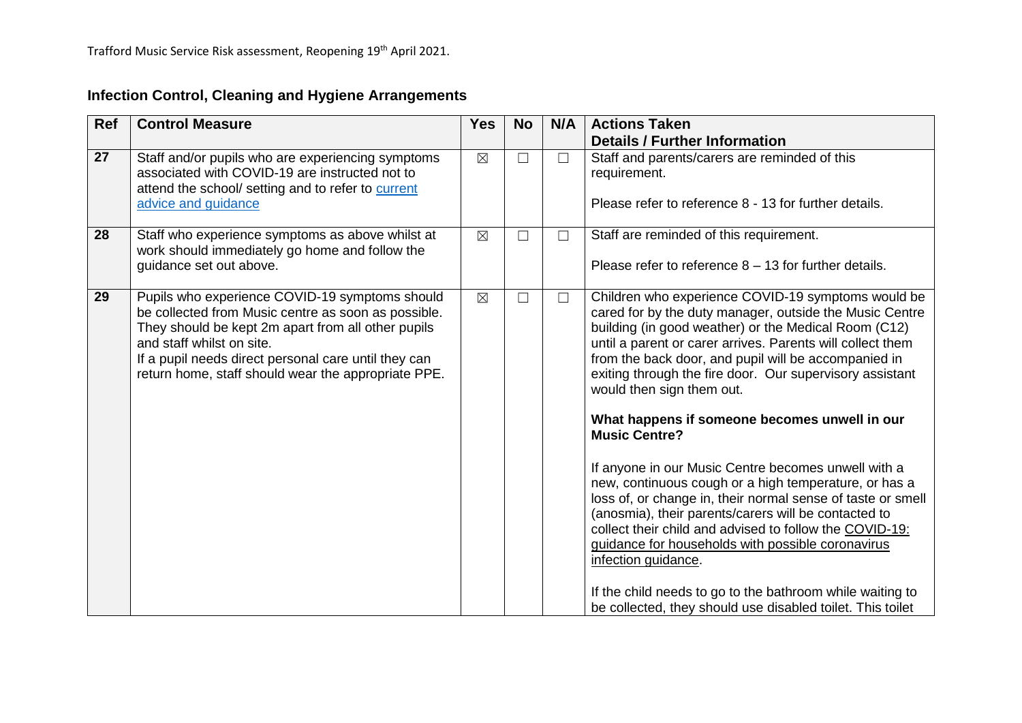# **Infection Control, Cleaning and Hygiene Arrangements**

| Ref | <b>Control Measure</b>                                                                                                                                                                                                                                                                                  | <b>Yes</b>  | <b>No</b> | N/A    | <b>Actions Taken</b>                                                                                                                                                                                                                                                                                                                                                                                                                                                                                                                                                                                                                                                                                 |
|-----|---------------------------------------------------------------------------------------------------------------------------------------------------------------------------------------------------------------------------------------------------------------------------------------------------------|-------------|-----------|--------|------------------------------------------------------------------------------------------------------------------------------------------------------------------------------------------------------------------------------------------------------------------------------------------------------------------------------------------------------------------------------------------------------------------------------------------------------------------------------------------------------------------------------------------------------------------------------------------------------------------------------------------------------------------------------------------------------|
|     |                                                                                                                                                                                                                                                                                                         |             |           |        | <b>Details / Further Information</b>                                                                                                                                                                                                                                                                                                                                                                                                                                                                                                                                                                                                                                                                 |
| 27  | Staff and/or pupils who are experiencing symptoms<br>associated with COVID-19 are instructed not to<br>attend the school/ setting and to refer to current<br>advice and guidance                                                                                                                        | $\boxtimes$ | $\Box$    | $\Box$ | Staff and parents/carers are reminded of this<br>requirement.<br>Please refer to reference 8 - 13 for further details.                                                                                                                                                                                                                                                                                                                                                                                                                                                                                                                                                                               |
| 28  | Staff who experience symptoms as above whilst at<br>work should immediately go home and follow the<br>guidance set out above.                                                                                                                                                                           | $\boxtimes$ | $\Box$    | $\Box$ | Staff are reminded of this requirement.<br>Please refer to reference $8 - 13$ for further details.                                                                                                                                                                                                                                                                                                                                                                                                                                                                                                                                                                                                   |
| 29  | Pupils who experience COVID-19 symptoms should<br>be collected from Music centre as soon as possible.<br>They should be kept 2m apart from all other pupils<br>and staff whilst on site.<br>If a pupil needs direct personal care until they can<br>return home, staff should wear the appropriate PPE. | $\boxtimes$ | $\Box$    | $\Box$ | Children who experience COVID-19 symptoms would be<br>cared for by the duty manager, outside the Music Centre<br>building (in good weather) or the Medical Room (C12)<br>until a parent or carer arrives. Parents will collect them<br>from the back door, and pupil will be accompanied in<br>exiting through the fire door. Our supervisory assistant<br>would then sign them out.<br>What happens if someone becomes unwell in our<br><b>Music Centre?</b><br>If anyone in our Music Centre becomes unwell with a<br>new, continuous cough or a high temperature, or has a<br>loss of, or change in, their normal sense of taste or smell<br>(anosmia), their parents/carers will be contacted to |
|     |                                                                                                                                                                                                                                                                                                         |             |           |        | collect their child and advised to follow the COVID-19:<br>guidance for households with possible coronavirus<br>infection guidance.<br>If the child needs to go to the bathroom while waiting to<br>be collected, they should use disabled toilet. This toilet                                                                                                                                                                                                                                                                                                                                                                                                                                       |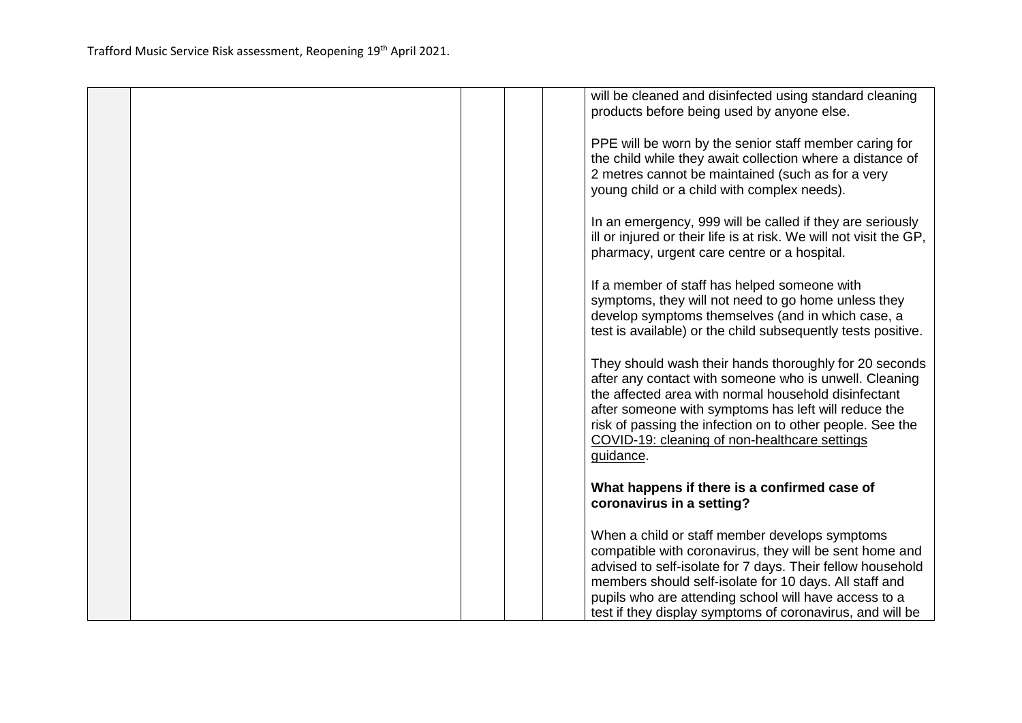|  |  | will be cleaned and disinfected using standard cleaning<br>products before being used by anyone else.                                                                                                                                                                                                                                                       |
|--|--|-------------------------------------------------------------------------------------------------------------------------------------------------------------------------------------------------------------------------------------------------------------------------------------------------------------------------------------------------------------|
|  |  | PPE will be worn by the senior staff member caring for<br>the child while they await collection where a distance of<br>2 metres cannot be maintained (such as for a very<br>young child or a child with complex needs).                                                                                                                                     |
|  |  | In an emergency, 999 will be called if they are seriously<br>ill or injured or their life is at risk. We will not visit the GP,<br>pharmacy, urgent care centre or a hospital.                                                                                                                                                                              |
|  |  | If a member of staff has helped someone with<br>symptoms, they will not need to go home unless they<br>develop symptoms themselves (and in which case, a<br>test is available) or the child subsequently tests positive.                                                                                                                                    |
|  |  | They should wash their hands thoroughly for 20 seconds<br>after any contact with someone who is unwell. Cleaning<br>the affected area with normal household disinfectant<br>after someone with symptoms has left will reduce the<br>risk of passing the infection on to other people. See the<br>COVID-19: cleaning of non-healthcare settings<br>guidance. |
|  |  | What happens if there is a confirmed case of<br>coronavirus in a setting?                                                                                                                                                                                                                                                                                   |
|  |  | When a child or staff member develops symptoms<br>compatible with coronavirus, they will be sent home and<br>advised to self-isolate for 7 days. Their fellow household<br>members should self-isolate for 10 days. All staff and<br>pupils who are attending school will have access to a<br>test if they display symptoms of coronavirus, and will be     |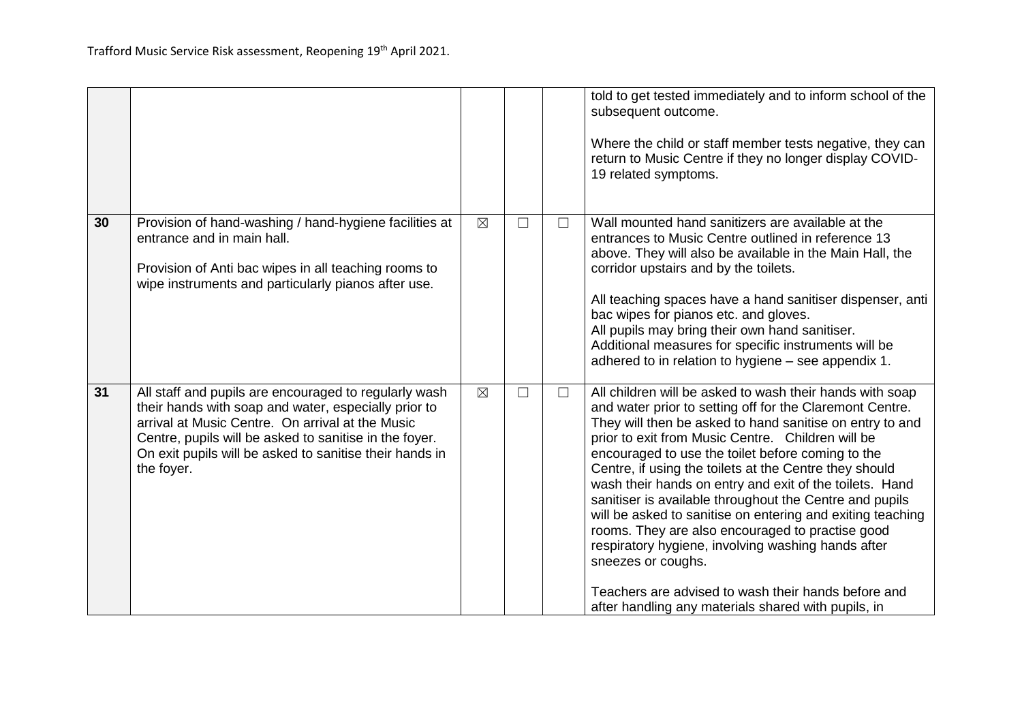|    |                                                                                                                                                                                                                                                                                                      |             |        |        | told to get tested immediately and to inform school of the<br>subsequent outcome.<br>Where the child or staff member tests negative, they can<br>return to Music Centre if they no longer display COVID-<br>19 related symptoms.                                                                                                                                                                                                                                                                                                                                                                                                                                                                                                                                                       |
|----|------------------------------------------------------------------------------------------------------------------------------------------------------------------------------------------------------------------------------------------------------------------------------------------------------|-------------|--------|--------|----------------------------------------------------------------------------------------------------------------------------------------------------------------------------------------------------------------------------------------------------------------------------------------------------------------------------------------------------------------------------------------------------------------------------------------------------------------------------------------------------------------------------------------------------------------------------------------------------------------------------------------------------------------------------------------------------------------------------------------------------------------------------------------|
| 30 | Provision of hand-washing / hand-hygiene facilities at<br>entrance and in main hall.<br>Provision of Anti bac wipes in all teaching rooms to<br>wipe instruments and particularly pianos after use.                                                                                                  | $\boxtimes$ | $\Box$ | $\Box$ | Wall mounted hand sanitizers are available at the<br>entrances to Music Centre outlined in reference 13<br>above. They will also be available in the Main Hall, the<br>corridor upstairs and by the toilets.<br>All teaching spaces have a hand sanitiser dispenser, anti<br>bac wipes for pianos etc. and gloves.<br>All pupils may bring their own hand sanitiser.<br>Additional measures for specific instruments will be<br>adhered to in relation to hygiene - see appendix 1.                                                                                                                                                                                                                                                                                                    |
| 31 | All staff and pupils are encouraged to regularly wash<br>their hands with soap and water, especially prior to<br>arrival at Music Centre. On arrival at the Music<br>Centre, pupils will be asked to sanitise in the foyer.<br>On exit pupils will be asked to sanitise their hands in<br>the foyer. | $\boxtimes$ | $\Box$ | $\Box$ | All children will be asked to wash their hands with soap<br>and water prior to setting off for the Claremont Centre.<br>They will then be asked to hand sanitise on entry to and<br>prior to exit from Music Centre. Children will be<br>encouraged to use the toilet before coming to the<br>Centre, if using the toilets at the Centre they should<br>wash their hands on entry and exit of the toilets. Hand<br>sanitiser is available throughout the Centre and pupils<br>will be asked to sanitise on entering and exiting teaching<br>rooms. They are also encouraged to practise good<br>respiratory hygiene, involving washing hands after<br>sneezes or coughs.<br>Teachers are advised to wash their hands before and<br>after handling any materials shared with pupils, in |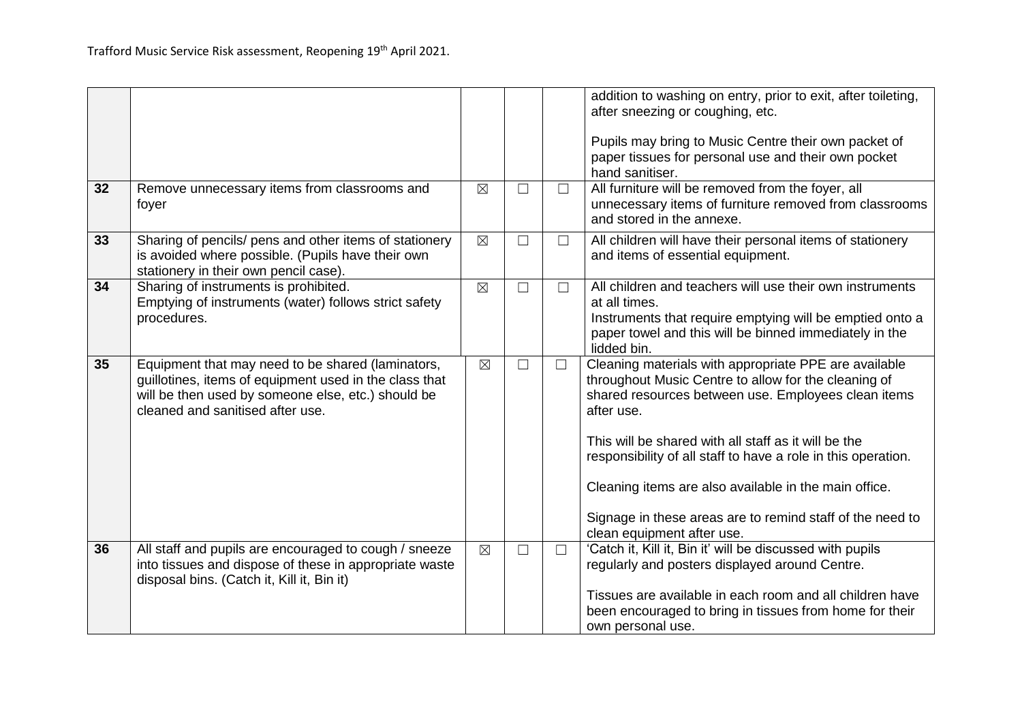| 32 | Remove unnecessary items from classrooms and                                                                                                                                                          | $\boxtimes$ | $\Box$ | $\Box$ | addition to washing on entry, prior to exit, after toileting,<br>after sneezing or coughing, etc.<br>Pupils may bring to Music Centre their own packet of<br>paper tissues for personal use and their own pocket<br>hand sanitiser.<br>All furniture will be removed from the foyer, all                                                                                                                                          |
|----|-------------------------------------------------------------------------------------------------------------------------------------------------------------------------------------------------------|-------------|--------|--------|-----------------------------------------------------------------------------------------------------------------------------------------------------------------------------------------------------------------------------------------------------------------------------------------------------------------------------------------------------------------------------------------------------------------------------------|
|    | foyer                                                                                                                                                                                                 |             |        |        | unnecessary items of furniture removed from classrooms<br>and stored in the annexe.                                                                                                                                                                                                                                                                                                                                               |
| 33 | Sharing of pencils/ pens and other items of stationery<br>is avoided where possible. (Pupils have their own<br>stationery in their own pencil case).                                                  | $\boxtimes$ | $\Box$ | $\Box$ | All children will have their personal items of stationery<br>and items of essential equipment.                                                                                                                                                                                                                                                                                                                                    |
| 34 | Sharing of instruments is prohibited.<br>Emptying of instruments (water) follows strict safety<br>procedures.                                                                                         | $\boxtimes$ | $\Box$ | $\Box$ | All children and teachers will use their own instruments<br>at all times.<br>Instruments that require emptying will be emptied onto a<br>paper towel and this will be binned immediately in the<br>lidded bin.                                                                                                                                                                                                                    |
| 35 | Equipment that may need to be shared (laminators,<br>guillotines, items of equipment used in the class that<br>will be then used by someone else, etc.) should be<br>cleaned and sanitised after use. | $\boxtimes$ | $\Box$ | $\Box$ | Cleaning materials with appropriate PPE are available<br>throughout Music Centre to allow for the cleaning of<br>shared resources between use. Employees clean items<br>after use.<br>This will be shared with all staff as it will be the<br>responsibility of all staff to have a role in this operation.<br>Cleaning items are also available in the main office.<br>Signage in these areas are to remind staff of the need to |
| 36 | All staff and pupils are encouraged to cough / sneeze                                                                                                                                                 | $\boxtimes$ | $\Box$ | $\Box$ | clean equipment after use.<br>'Catch it, Kill it, Bin it' will be discussed with pupils                                                                                                                                                                                                                                                                                                                                           |
|    | into tissues and dispose of these in appropriate waste<br>disposal bins. (Catch it, Kill it, Bin it)                                                                                                  |             |        |        | regularly and posters displayed around Centre.                                                                                                                                                                                                                                                                                                                                                                                    |
|    |                                                                                                                                                                                                       |             |        |        | Tissues are available in each room and all children have<br>been encouraged to bring in tissues from home for their<br>own personal use.                                                                                                                                                                                                                                                                                          |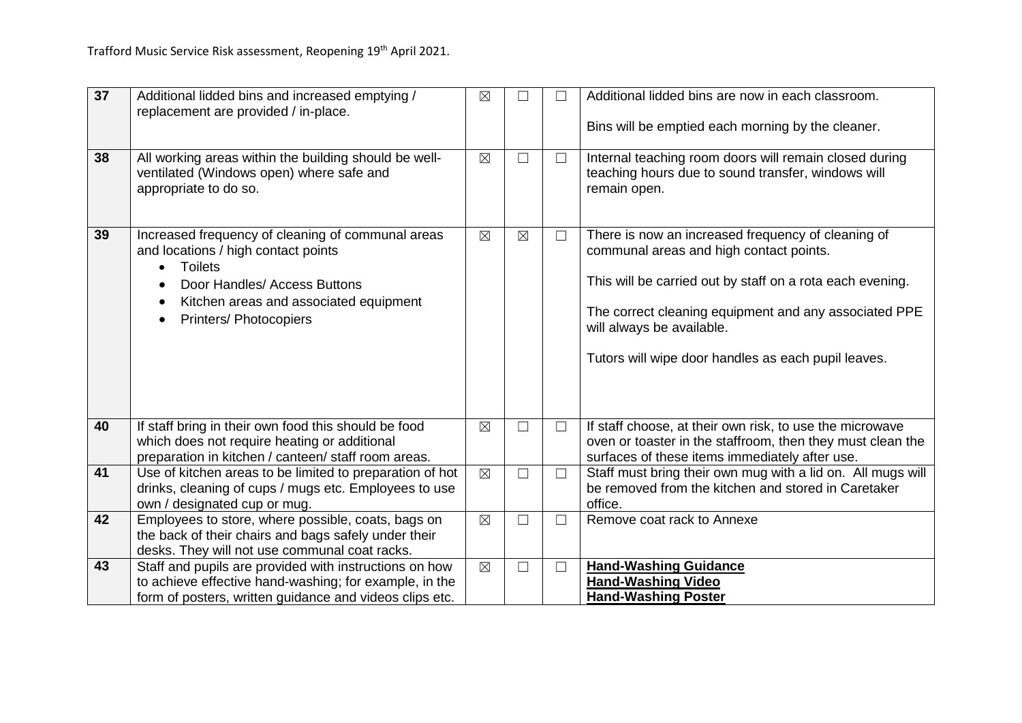| 37 | Additional lidded bins and increased emptying /<br>replacement are provided / in-place.                                                                                                                               | $\boxtimes$ |             | П      | Additional lidded bins are now in each classroom.<br>Bins will be emptied each morning by the cleaner.                                                                                                                                                                                                  |
|----|-----------------------------------------------------------------------------------------------------------------------------------------------------------------------------------------------------------------------|-------------|-------------|--------|---------------------------------------------------------------------------------------------------------------------------------------------------------------------------------------------------------------------------------------------------------------------------------------------------------|
| 38 | All working areas within the building should be well-<br>ventilated (Windows open) where safe and<br>appropriate to do so.                                                                                            | $\boxtimes$ | $\Box$      | $\Box$ | Internal teaching room doors will remain closed during<br>teaching hours due to sound transfer, windows will<br>remain open.                                                                                                                                                                            |
| 39 | Increased frequency of cleaning of communal areas<br>and locations / high contact points<br><b>Toilets</b><br>Door Handles/ Access Buttons<br>Kitchen areas and associated equipment<br><b>Printers/ Photocopiers</b> | $\boxtimes$ | $\boxtimes$ | $\Box$ | There is now an increased frequency of cleaning of<br>communal areas and high contact points.<br>This will be carried out by staff on a rota each evening.<br>The correct cleaning equipment and any associated PPE<br>will always be available.<br>Tutors will wipe door handles as each pupil leaves. |
| 40 | If staff bring in their own food this should be food<br>which does not require heating or additional<br>preparation in kitchen / canteen/ staff room areas.                                                           | $\boxtimes$ | $\Box$      | $\Box$ | If staff choose, at their own risk, to use the microwave<br>oven or toaster in the staffroom, then they must clean the<br>surfaces of these items immediately after use.                                                                                                                                |
| 41 | Use of kitchen areas to be limited to preparation of hot<br>drinks, cleaning of cups / mugs etc. Employees to use<br>own / designated cup or mug.                                                                     | $\boxtimes$ | $\Box$      | $\Box$ | Staff must bring their own mug with a lid on. All mugs will<br>be removed from the kitchen and stored in Caretaker<br>office.                                                                                                                                                                           |
| 42 | Employees to store, where possible, coats, bags on<br>the back of their chairs and bags safely under their<br>desks. They will not use communal coat racks.                                                           | $\boxtimes$ | $\Box$      | $\Box$ | Remove coat rack to Annexe                                                                                                                                                                                                                                                                              |
| 43 | Staff and pupils are provided with instructions on how<br>to achieve effective hand-washing; for example, in the<br>form of posters, written guidance and videos clips etc.                                           | $\boxtimes$ | $\Box$      | $\Box$ | <b>Hand-Washing Guidance</b><br><b>Hand-Washing Video</b><br><b>Hand-Washing Poster</b>                                                                                                                                                                                                                 |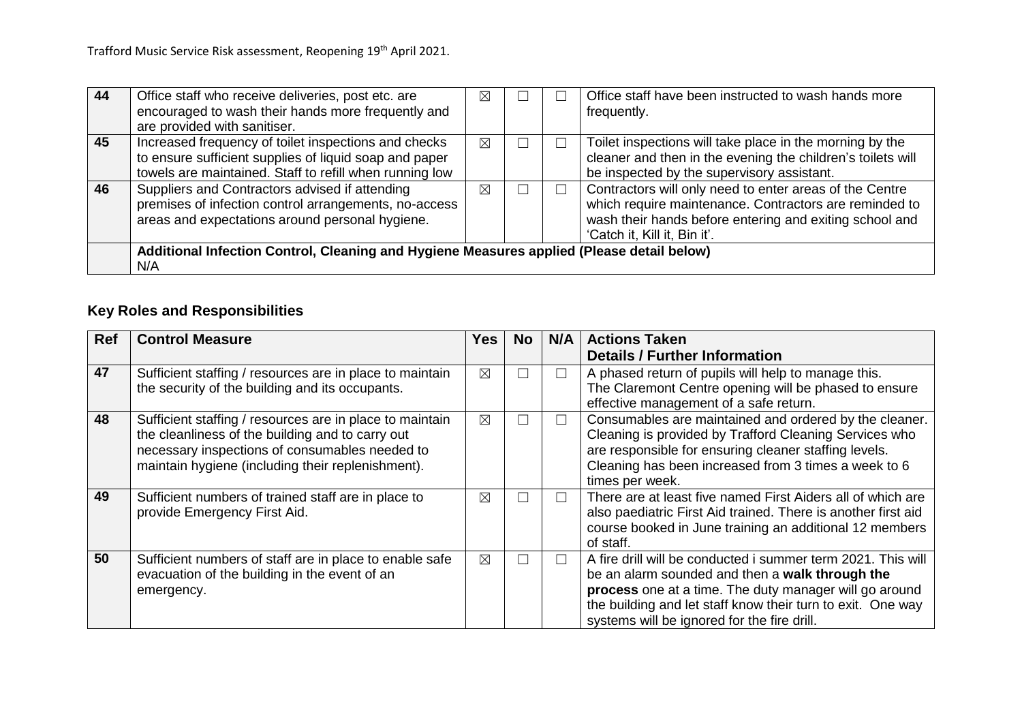| -44 | Office staff who receive deliveries, post etc. are<br>encouraged to wash their hands more frequently and<br>are provided with sanitiser.                                  | ⊠ |  | Office staff have been instructed to wash hands more<br>frequently.                                                                                                                                          |
|-----|---------------------------------------------------------------------------------------------------------------------------------------------------------------------------|---|--|--------------------------------------------------------------------------------------------------------------------------------------------------------------------------------------------------------------|
| 45  | Increased frequency of toilet inspections and checks<br>to ensure sufficient supplies of liquid soap and paper<br>towels are maintained. Staff to refill when running low | ⊠ |  | Toilet inspections will take place in the morning by the<br>cleaner and then in the evening the children's toilets will<br>be inspected by the supervisory assistant.                                        |
| 46  | Suppliers and Contractors advised if attending<br>premises of infection control arrangements, no-access<br>areas and expectations around personal hygiene.                | ⊠ |  | Contractors will only need to enter areas of the Centre<br>which require maintenance. Contractors are reminded to<br>wash their hands before entering and exiting school and<br>'Catch it, Kill it, Bin it'. |
|     | Additional Infection Control, Cleaning and Hygiene Measures applied (Please detail below)<br>N/A                                                                          |   |  |                                                                                                                                                                                                              |

# **Key Roles and Responsibilities**

| <b>Ref</b> | <b>Control Measure</b>                                   | Yes l       | No. | N/A    | <b>Actions Taken</b>                                          |
|------------|----------------------------------------------------------|-------------|-----|--------|---------------------------------------------------------------|
|            |                                                          |             |     |        | <b>Details / Further Information</b>                          |
| 47         | Sufficient staffing / resources are in place to maintain | $\boxtimes$ | L   | $\Box$ | A phased return of pupils will help to manage this.           |
|            | the security of the building and its occupants.          |             |     |        | The Claremont Centre opening will be phased to ensure         |
|            |                                                          |             |     |        | effective management of a safe return.                        |
| 48         | Sufficient staffing / resources are in place to maintain | $\boxtimes$ | □   | $\Box$ | Consumables are maintained and ordered by the cleaner.        |
|            | the cleanliness of the building and to carry out         |             |     |        | Cleaning is provided by Trafford Cleaning Services who        |
|            | necessary inspections of consumables needed to           |             |     |        | are responsible for ensuring cleaner staffing levels.         |
|            | maintain hygiene (including their replenishment).        |             |     |        | Cleaning has been increased from 3 times a week to 6          |
|            |                                                          |             |     |        | times per week.                                               |
| 49         | Sufficient numbers of trained staff are in place to      | ⊠           | Г   | ┓      | There are at least five named First Aiders all of which are   |
|            | provide Emergency First Aid.                             |             |     |        | also paediatric First Aid trained. There is another first aid |
|            |                                                          |             |     |        | course booked in June training an additional 12 members       |
|            |                                                          |             |     |        | of staff.                                                     |
| 50         | Sufficient numbers of staff are in place to enable safe  | $\boxtimes$ | L   | П      | A fire drill will be conducted i summer term 2021. This will  |
|            | evacuation of the building in the event of an            |             |     |        | be an alarm sounded and then a walk through the               |
|            | emergency.                                               |             |     |        | process one at a time. The duty manager will go around        |
|            |                                                          |             |     |        | the building and let staff know their turn to exit. One way   |
|            |                                                          |             |     |        | systems will be ignored for the fire drill.                   |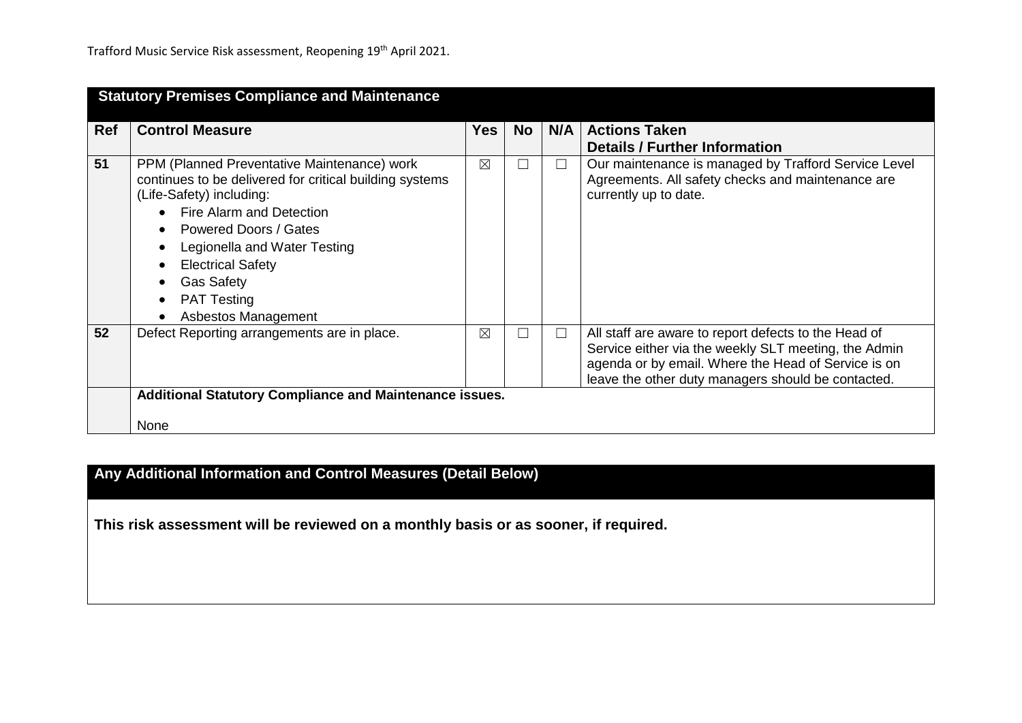|            | <b>Statutory Premises Compliance and Maintenance</b>                                                                                                                                                                                                                                                                         |     |     |        |                                                                                                                                                                                                                           |  |  |
|------------|------------------------------------------------------------------------------------------------------------------------------------------------------------------------------------------------------------------------------------------------------------------------------------------------------------------------------|-----|-----|--------|---------------------------------------------------------------------------------------------------------------------------------------------------------------------------------------------------------------------------|--|--|
| <b>Ref</b> | <b>Control Measure</b>                                                                                                                                                                                                                                                                                                       | Yes | No. | N/A    | <b>Actions Taken</b><br><b>Details / Further Information</b>                                                                                                                                                              |  |  |
| 51         | PPM (Planned Preventative Maintenance) work<br>continues to be delivered for critical building systems<br>(Life-Safety) including:<br>Fire Alarm and Detection<br><b>Powered Doors / Gates</b><br>Legionella and Water Testing<br><b>Electrical Safety</b><br><b>Gas Safety</b><br><b>PAT Testing</b><br>Asbestos Management | ⊠   |     | $\Box$ | Our maintenance is managed by Trafford Service Level<br>Agreements. All safety checks and maintenance are<br>currently up to date.                                                                                        |  |  |
| 52         | Defect Reporting arrangements are in place.                                                                                                                                                                                                                                                                                  | ⊠   | □   | $\Box$ | All staff are aware to report defects to the Head of<br>Service either via the weekly SLT meeting, the Admin<br>agenda or by email. Where the Head of Service is on<br>leave the other duty managers should be contacted. |  |  |
|            | <b>Additional Statutory Compliance and Maintenance issues.</b><br><b>None</b>                                                                                                                                                                                                                                                |     |     |        |                                                                                                                                                                                                                           |  |  |

# **Any Additional Information and Control Measures (Detail Below)**

**This risk assessment will be reviewed on a monthly basis or as sooner, if required.**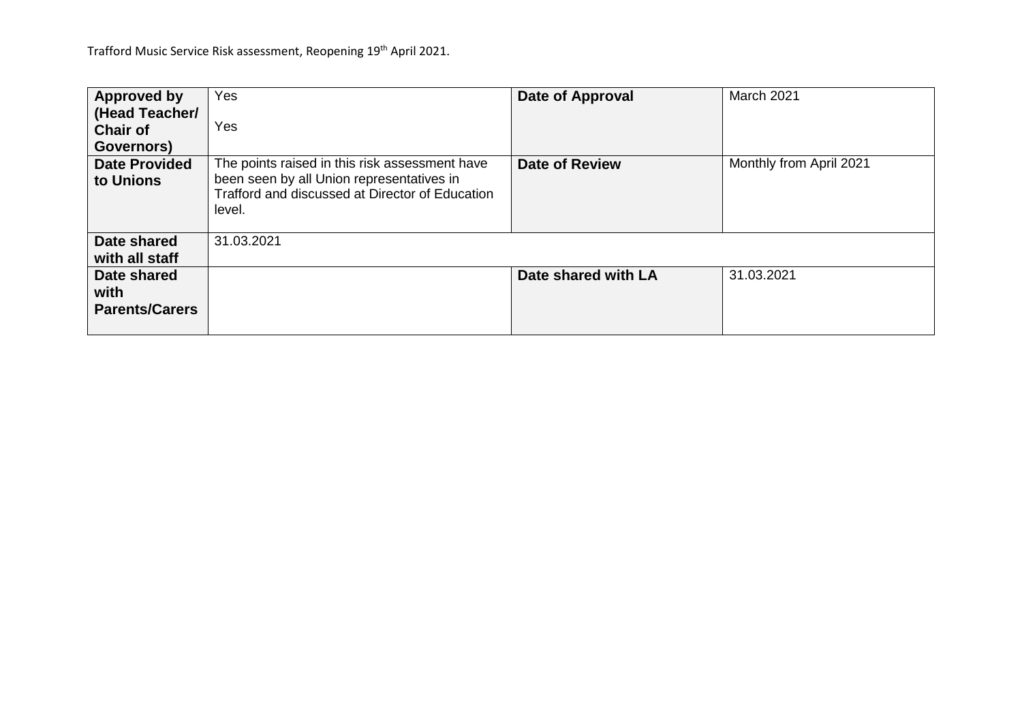| Approved by<br>(Head Teacher/<br><b>Chair of</b><br>Governors) | Yes<br>Yes                                                                                                                                               | Date of Approval      | March 2021              |
|----------------------------------------------------------------|----------------------------------------------------------------------------------------------------------------------------------------------------------|-----------------------|-------------------------|
| <b>Date Provided</b><br>to Unions                              | The points raised in this risk assessment have<br>been seen by all Union representatives in<br>Trafford and discussed at Director of Education<br>level. | <b>Date of Review</b> | Monthly from April 2021 |
| Date shared<br>with all staff                                  | 31.03.2021                                                                                                                                               |                       |                         |
| Date shared<br>with<br><b>Parents/Carers</b>                   |                                                                                                                                                          | Date shared with LA   | 31.03.2021              |